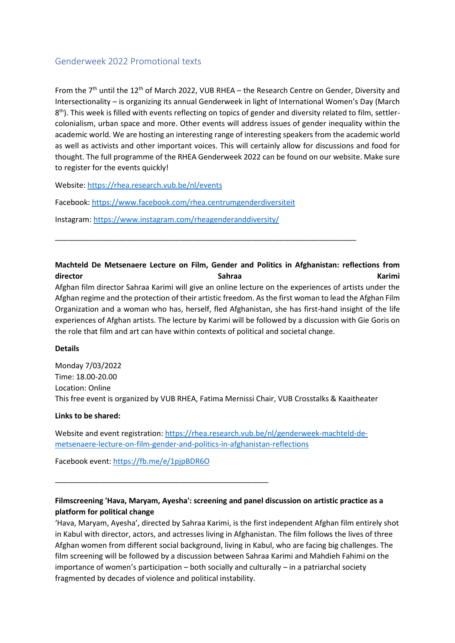# Genderweek 2022 Promotional texts

From the 7<sup>th</sup> until the 12<sup>th</sup> of March 2022, VUB RHEA – the Research Centre on Gender, Diversity and Intersectionality – is organizing its annual Genderweek in light of International Women's Day (March 8<sup>th</sup>). This week is filled with events reflecting on topics of gender and diversity related to film, settlercolonialism, urban space and more. Other events will address issues of gender inequality within the academic world. We are hosting an interesting range of interesting speakers from the academic world as well as activists and other important voices. This will certainly allow for discussions and food for thought. The full programme of the RHEA Genderweek 2022 can be found on our website. Make sure to register for the events quickly!

Website[: https://rhea.research.vub.be/nl/events](https://rhea.research.vub.be/nl/events)

Facebook:<https://www.facebook.com/rhea.centrumgenderdiversiteit>

Instagram:<https://www.instagram.com/rheagenderanddiversity/>

**Machteld De Metsenaere Lecture on Film, Gender and Politics in Afghanistan: reflections from**  director **Contracts Contracts Contracts Contracts Contracts Contracts Contracts Contracts Contracts Contracts Contracts Contracts Contracts Contracts Contracts Contracts Contracts Contracts Contracts Contracts Contracts Co** Afghan film director Sahraa Karimi will give an online lecture on the experiences of artists under the Afghan regime and the protection of their artistic freedom. As the first woman to lead the Afghan Film Organization and a woman who has, herself, fled Afghanistan, she has first-hand insight of the life experiences of Afghan artists. The lecture by Karimi will be followed by a discussion with Gie Goris on the role that film and art can have within contexts of political and societal change.

\_\_\_\_\_\_\_\_\_\_\_\_\_\_\_\_\_\_\_\_\_\_\_\_\_\_\_\_\_\_\_\_\_\_\_\_\_\_\_\_\_\_\_\_\_\_\_\_\_\_\_\_\_\_\_\_\_\_\_\_\_\_\_\_\_\_\_\_\_\_\_\_

# **Details**

Monday 7/03/2022 Time: 18.00-20.00 Location: Online This free event is organized by VUB RHEA, Fatima Mernissi Chair, VUB Crosstalks & Kaaitheater

# **Links to be shared:**

Website and event registration: [https://rhea.research.vub.be/nl/genderweek-machteld-de](https://rhea.research.vub.be/nl/genderweek-machteld-de-metsenaere-lecture-on-film-gender-and-politics-in-afghanistan-reflections)[metsenaere-lecture-on-film-gender-and-politics-in-afghanistan-reflections](https://rhea.research.vub.be/nl/genderweek-machteld-de-metsenaere-lecture-on-film-gender-and-politics-in-afghanistan-reflections)

Facebook event:<https://fb.me/e/1pjpBDR6O>

\_\_\_\_\_\_\_\_\_\_\_\_\_\_\_\_\_\_\_\_\_\_\_\_\_\_\_\_\_\_\_\_\_\_\_\_\_\_\_\_\_\_\_\_\_\_\_\_\_\_\_

# **Filmscreening 'Hava, Maryam, Ayesha': screening and panel discussion on artistic practice as a platform for political change**

'Hava, Maryam, Ayesha', directed by Sahraa Karimi, is the first independent Afghan film entirely shot in Kabul with director, actors, and actresses living in Afghanistan. The film follows the lives of three Afghan women from different social background, living in Kabul, who are facing big challenges. The film screening will be followed by a discussion between Sahraa Karimi and Mahdieh Fahimi on the importance of women's participation – both socially and culturally – in a patriarchal society fragmented by decades of violence and political instability.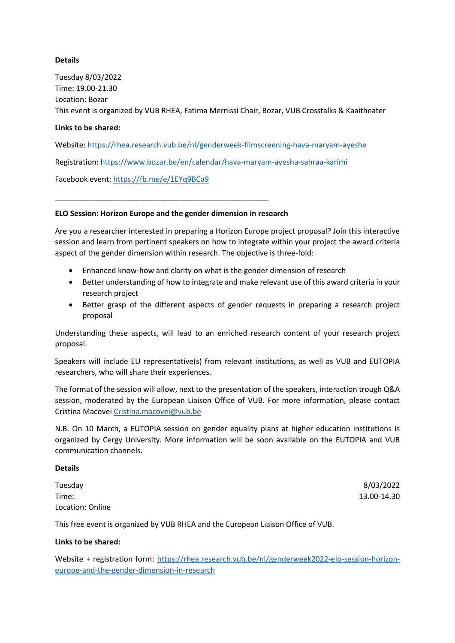# **Details**

Tuesday 8/03/2022 Time: 19.00-21.30 Location: Bozar This event is organized by VUB RHEA, Fatima Mernissi Chair, Bozar, VUB Crosstalks & Kaaitheater

# **Links to be shared:**

Website[: https://rhea.research.vub.be/nl/genderweek-filmscreening-hava-maryam-ayeshe](https://rhea.research.vub.be/nl/genderweek-filmscreening-hava-maryam-ayeshe)

Registration[: https://www.bozar.be/en/calendar/hava-maryam-ayesha-sahraa-karimi](https://www.bozar.be/en/calendar/hava-maryam-ayesha-sahraa-karimi) 

Facebook event:<https://fb.me/e/1EYq9BCa9>

# **ELO Session: Horizon Europe and the gender dimension in research**

\_\_\_\_\_\_\_\_\_\_\_\_\_\_\_\_\_\_\_\_\_\_\_\_\_\_\_\_\_\_\_\_\_\_\_\_\_\_\_\_\_\_\_\_\_\_\_\_\_\_\_

Are you a researcher interested in preparing a Horizon Europe project proposal? Join this interactive session and learn from pertinent speakers on how to integrate within your project the award criteria aspect of the gender dimension within research. The objective is three-fold:

- Enhanced know-how and clarity on what is the gender dimension of research
- Better understanding of how to integrate and make relevant use of this award criteria in your research project
- Better grasp of the different aspects of gender requests in preparing a research project proposal

Understanding these aspects, will lead to an enriched research content of your research project proposal.

Speakers will include EU representative(s) from relevant institutions, as well as VUB and EUTOPIA researchers, who will share their experiences.

The format of the session will allow, next to the presentation of the speakers, interaction trough Q&A session, moderated by the European Liaison Office of VUB. For more information, please contact Cristina Macovei [Cristina.macovei@vub.be](mailto:Cristina.macovei@vub.be)

N.B. On 10 March, a EUTOPIA session on gender equality plans at higher education institutions is organized by Cergy University. More information will be soon available on the EUTOPIA and VUB communication channels.

#### **Details**

| Tuesday          | 8/03/2022   |
|------------------|-------------|
| Time:            | 13.00-14.30 |
| Location: Online |             |

This free event is organized by VUB RHEA and the European Liaison Office of VUB.

# **Links to be shared:**

Website + registration form: [https://rhea.research.vub.be/nl/genderweek2022-elo-session-horizon](https://rhea.research.vub.be/nl/genderweek2022-elo-session-horizon-europe-and-the-gender-dimension-in-research)[europe-and-the-gender-dimension-in-research](https://rhea.research.vub.be/nl/genderweek2022-elo-session-horizon-europe-and-the-gender-dimension-in-research)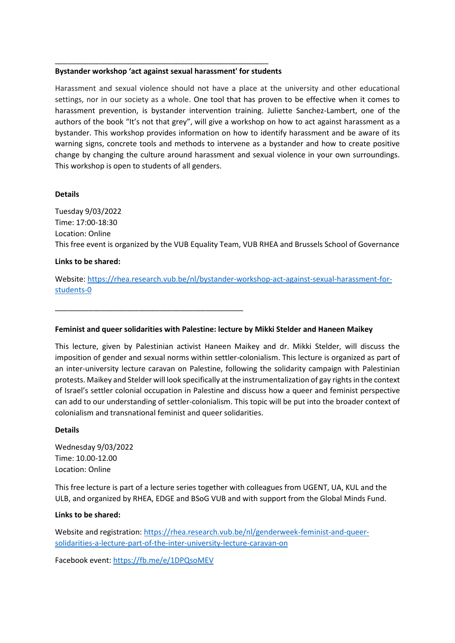## **Bystander workshop 'act against sexual harassment' for students**

\_\_\_\_\_\_\_\_\_\_\_\_\_\_\_\_\_\_\_\_\_\_\_\_\_\_\_\_\_\_\_\_\_\_\_\_\_\_\_\_\_\_\_\_\_\_\_\_\_\_\_

\_\_\_\_\_\_\_\_\_\_\_\_\_\_\_\_\_\_\_\_\_\_\_\_\_\_\_\_\_\_\_\_\_\_\_\_\_\_\_\_\_\_\_\_\_

Harassment and sexual violence should not have a place at the university and other educational settings, nor in our society as a whole. One tool that has proven to be effective when it comes to harassment prevention, is bystander intervention training. Juliette Sanchez-Lambert, one of the authors of the book "It's not that grey", will give a workshop on how to act against harassment as a bystander. This workshop provides information on how to identify harassment and be aware of its warning signs, concrete tools and methods to intervene as a bystander and how to create positive change by changing the culture around harassment and sexual violence in your own surroundings. This workshop is open to students of all genders.

## **Details**

Tuesday 9/03/2022 Time: 17:00-18:30 Location: Online This free event is organized by the VUB Equality Team, VUB RHEA and Brussels School of Governance

## **Links to be shared:**

Website[: https://rhea.research.vub.be/nl/bystander-workshop-act-against-sexual-harassment-for](https://rhea.research.vub.be/nl/bystander-workshop-act-against-sexual-harassment-for-students-0)[students-0](https://rhea.research.vub.be/nl/bystander-workshop-act-against-sexual-harassment-for-students-0)

#### **Feminist and queer solidarities with Palestine: lecture by Mikki Stelder and Haneen Maikey**

This lecture, given by Palestinian activist Haneen Maikey and dr. Mikki Stelder, will discuss the imposition of gender and sexual norms within settler-colonialism. This lecture is organized as part of an inter-university lecture caravan on Palestine, following the solidarity campaign with Palestinian protests. Maikey and Stelder will look specifically at the instrumentalization of gay rights in the context of Israel's settler colonial occupation in Palestine and discuss how a queer and feminist perspective can add to our understanding of settler-colonialism. This topic will be put into the broader context of colonialism and transnational feminist and queer solidarities.

#### **Details**

Wednesday 9/03/2022 Time: 10.00-12.00 Location: Online

This free lecture is part of a lecture series together with colleagues from UGENT, UA, KUL and the ULB, and organized by RHEA, EDGE and BSoG VUB and with support from the Global Minds Fund.

## **Links to be shared:**

Website and registration: [https://rhea.research.vub.be/nl/genderweek-feminist-and-queer](https://rhea.research.vub.be/nl/genderweek-feminist-and-queer-solidarities-a-lecture-part-of-the-inter-university-lecture-caravan-on)[solidarities-a-lecture-part-of-the-inter-university-lecture-caravan-on](https://rhea.research.vub.be/nl/genderweek-feminist-and-queer-solidarities-a-lecture-part-of-the-inter-university-lecture-caravan-on)

Facebook event:<https://fb.me/e/1DPQsoMEV>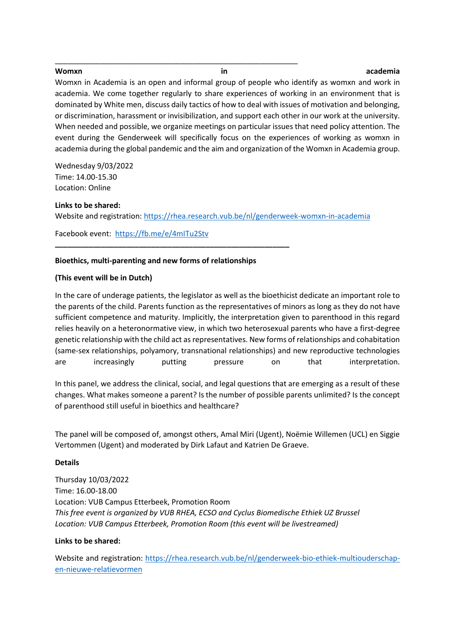\_\_\_\_\_\_\_\_\_\_\_\_\_\_\_\_\_\_\_\_\_\_\_\_\_\_\_\_\_\_\_\_\_\_\_\_\_\_\_\_\_\_\_\_\_\_\_\_\_\_\_\_\_\_\_\_\_\_

#### **Womxn in academia**

Womxn in Academia is an open and informal group of people who identify as womxn and work in academia. We come together regularly to share experiences of working in an environment that is dominated by White men, discuss daily tactics of how to deal with issues of motivation and belonging, or discrimination, harassment or invisibilization, and support each other in our work at the university. When needed and possible, we organize meetings on particular issues that need policy attention. The event during the Genderweek will specifically focus on the experiences of working as womxn in academia during the global pandemic and the aim and organization of the Womxn in Academia group.

Wednesday 9/03/2022 Time: 14.00-15.30 Location: Online

**Links to be shared:**

Website and registration:<https://rhea.research.vub.be/nl/genderweek-womxn-in-academia>

Facebook event:<https://fb.me/e/4mITu2Stv>

# **Bioethics, multi-parenting and new forms of relationships**

**\_\_\_\_\_\_\_\_\_\_\_\_\_\_\_\_\_\_\_\_\_\_\_\_\_\_\_\_\_\_\_\_\_\_\_\_\_\_\_\_\_\_\_\_\_\_\_\_\_\_\_\_\_\_\_\_**

# **(This event will be in Dutch)**

In the care of underage patients, the legislator as well as the bioethicist dedicate an important role to the parents of the child. Parents function as the representatives of minors as long as they do not have sufficient competence and maturity. Implicitly, the interpretation given to parenthood in this regard relies heavily on a heteronormative view, in which two heterosexual parents who have a first-degree genetic relationship with the child act as representatives. New forms of relationships and cohabitation (same-sex relationships, polyamory, transnational relationships) and new reproductive technologies are increasingly putting pressure on that interpretation.

In this panel, we address the clinical, social, and legal questions that are emerging as a result of these changes. What makes someone a parent? Is the number of possible parents unlimited? Is the concept of parenthood still useful in bioethics and healthcare?

The panel will be composed of, amongst others, Amal Miri (Ugent), Noëmie Willemen (UCL) en Siggie Vertommen (Ugent) and moderated by Dirk Lafaut and Katrien De Graeve.

#### **Details**

Thursday 10/03/2022 Time: 16.00-18.00 Location: VUB Campus Etterbeek, Promotion Room *This free event is organized by VUB RHEA, ECSO and Cyclus Biomedische Ethiek UZ Brussel Location: VUB Campus Etterbeek, Promotion Room (this event will be livestreamed)*

#### **Links to be shared:**

Website and registration: [https://rhea.research.vub.be/nl/genderweek-bio-ethiek-multiouderschap](https://rhea.research.vub.be/nl/genderweek-bio-ethiek-multiouderschap-en-nieuwe-relatievormen)[en-nieuwe-relatievormen](https://rhea.research.vub.be/nl/genderweek-bio-ethiek-multiouderschap-en-nieuwe-relatievormen)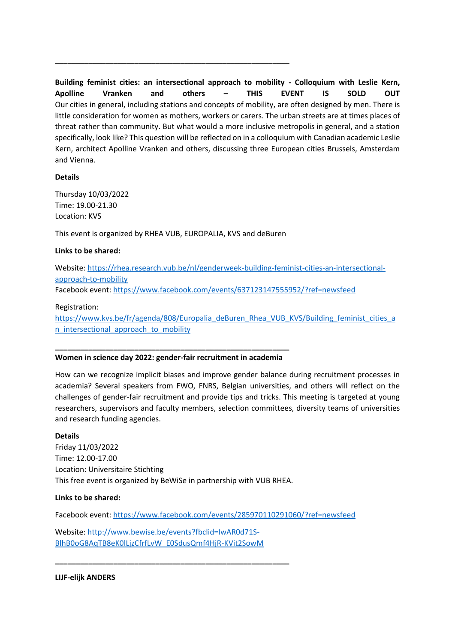**Building feminist cities: an intersectional approach to mobility - Colloquium with Leslie Kern, Apolline Vranken and others – THIS EVENT IS SOLD OUT** Our cities in general, including stations and concepts of mobility, are often designed by men. There is little consideration for women as mothers, workers or carers. The urban streets are at times places of threat rather than community. But what would a more inclusive metropolis in general, and a station specifically, look like? This question will be reflected on in a colloquium with Canadian academic Leslie Kern, architect Apolline Vranken and others, discussing three European cities Brussels, Amsterdam and Vienna.

# **Details**

Thursday 10/03/2022 Time: 19.00-21.30 Location: KVS

This event is organized by RHEA VUB, EUROPALIA, KVS and deBuren

**\_\_\_\_\_\_\_\_\_\_\_\_\_\_\_\_\_\_\_\_\_\_\_\_\_\_\_\_\_\_\_\_\_\_\_\_\_\_\_\_\_\_\_\_\_\_\_\_\_\_\_\_\_\_\_\_**

# **Links to be shared:**

Website[: https://rhea.research.vub.be/nl/genderweek-building-feminist-cities-an-intersectional](https://rhea.research.vub.be/nl/genderweek-building-feminist-cities-an-intersectional-approach-to-mobility)[approach-to-mobility](https://rhea.research.vub.be/nl/genderweek-building-feminist-cities-an-intersectional-approach-to-mobility) Facebook event:<https://www.facebook.com/events/637123147555952/?ref=newsfeed>

# Registration:

[https://www.kvs.be/fr/agenda/808/Europalia\\_deBuren\\_Rhea\\_VUB\\_KVS/Building\\_feminist\\_cities\\_a](https://www.kvs.be/fr/agenda/808/Europalia_deBuren_Rhea_VUB_KVS/Building_feminist_cities_an_intersectional_approach_to_mobility) n intersectional approach to mobility

# **\_\_\_\_\_\_\_\_\_\_\_\_\_\_\_\_\_\_\_\_\_\_\_\_\_\_\_\_\_\_\_\_\_\_\_\_\_\_\_\_\_\_\_\_\_\_\_\_\_\_\_\_\_\_\_\_ Women in science day 2022: gender-fair recruitment in academia**

How can we recognize implicit biases and improve gender balance during recruitment processes in academia? Several speakers from FWO, FNRS, Belgian universities, and others will reflect on the challenges of gender-fair recruitment and provide tips and tricks. This meeting is targeted at young researchers, supervisors and faculty members, selection committees, diversity teams of universities and research funding agencies.

# **Details**

Friday 11/03/2022 Time: 12.00-17.00 Location: Universitaire Stichting This free event is organized by BeWiSe in partnership with VUB RHEA.

# **Links to be shared:**

Facebook event:<https://www.facebook.com/events/285970110291060/?ref=newsfeed>

Website[: http://www.bewise.be/events?fbclid=IwAR0d71S-](http://www.bewise.be/events?fbclid=IwAR0d71S-BlhB0oG8AqTB8eK0lLjzCfrfLvW_E0SdusQmf4HjR-KVit2SowM)[BlhB0oG8AqTB8eK0lLjzCfrfLvW\\_E0SdusQmf4HjR-KVit2SowM](http://www.bewise.be/events?fbclid=IwAR0d71S-BlhB0oG8AqTB8eK0lLjzCfrfLvW_E0SdusQmf4HjR-KVit2SowM)

**\_\_\_\_\_\_\_\_\_\_\_\_\_\_\_\_\_\_\_\_\_\_\_\_\_\_\_\_\_\_\_\_\_\_\_\_\_\_\_\_\_\_\_\_\_\_\_\_\_\_\_\_\_\_\_\_**

**LIJF-elijk ANDERS**